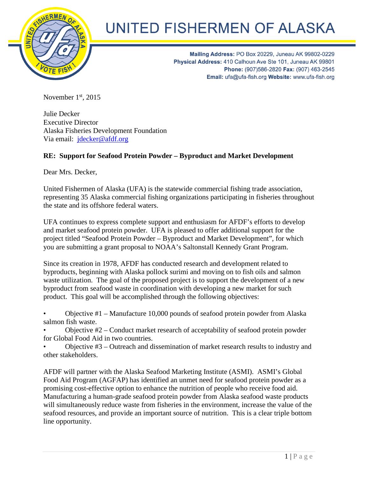

## UNITED FISHERMEN OF ALASKA

Mailing Address: PO Box 20229, Juneau AK 99802-0229 Physical Address: 410 Calhoun Ave Ste 101, Juneau AK 99801 Phone: (907)586-2820 Fax: (907) 463-2545 Email: ufa@ufa-fish.org Website: www.ufa-fish.org

November  $1<sup>st</sup>$ , 2015

Julie Decker Executive Director Alaska Fisheries Development Foundation Via email: [jdecker@afdf.org](mailto:jdecker@afdf.org)

## **RE: Support for Seafood Protein Powder – Byproduct and Market Development**

Dear Mrs. Decker,

United Fishermen of Alaska (UFA) is the statewide commercial fishing trade association, representing 35 Alaska commercial fishing organizations participating in fisheries throughout the state and its offshore federal waters.

UFA continues to express complete support and enthusiasm for AFDF's efforts to develop and market seafood protein powder. UFA is pleased to offer additional support for the project titled "Seafood Protein Powder – Byproduct and Market Development", for which you are submitting a grant proposal to NOAA's Saltonstall Kennedy Grant Program.

Since its creation in 1978, AFDF has conducted research and development related to byproducts, beginning with Alaska pollock surimi and moving on to fish oils and salmon waste utilization. The goal of the proposed project is to support the development of a new byproduct from seafood waste in coordination with developing a new market for such product. This goal will be accomplished through the following objectives:

• Objective #1 – Manufacture 10,000 pounds of seafood protein powder from Alaska salmon fish waste.

• Objective #2 – Conduct market research of acceptability of seafood protein powder for Global Food Aid in two countries.

• Objective #3 – Outreach and dissemination of market research results to industry and other stakeholders.

AFDF will partner with the Alaska Seafood Marketing Institute (ASMI). ASMI's Global Food Aid Program (AGFAP) has identified an unmet need for seafood protein powder as a promising cost-effective option to enhance the nutrition of people who receive food aid. Manufacturing a human-grade seafood protein powder from Alaska seafood waste products will simultaneously reduce waste from fisheries in the environment, increase the value of the seafood resources, and provide an important source of nutrition. This is a clear triple bottom line opportunity.